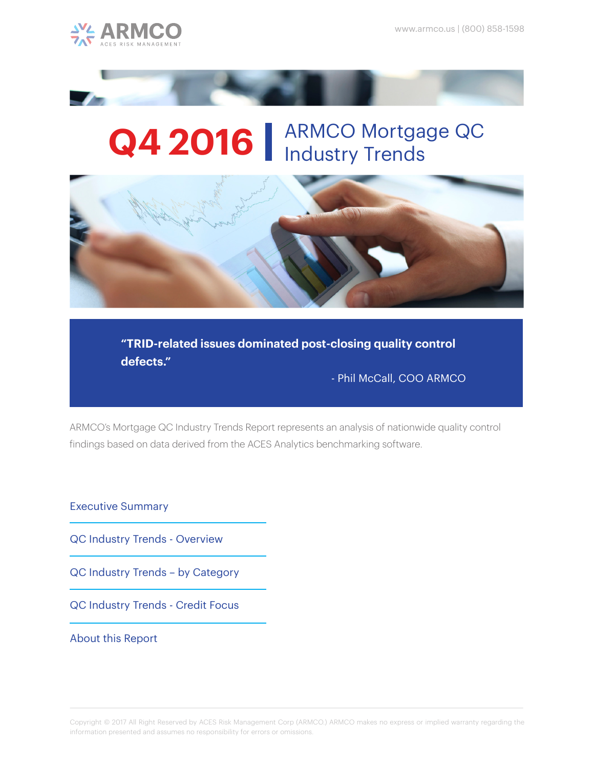



# Q4 2016 | ARMCO Mortgage QC



**"TRID-related issues dominated post-closing quality control defects."** 

- Phil McCall, COO ARMCO

ARMCO's Mortgage QC Industry Trends Report represents an analysis of nationwide quality control findings based on data derived from the ACES Analytics benchmarking software.

Executive Summary

QC Industry Trends - Overview

QC Industry Trends – by Category

QC Industry Trends - Credit Focus

About this Report

Copyright © 2017 All Right Reserved by ACES Risk Management Corp (ARMCO.) ARMCO makes no express or implied warranty regarding the information presented and assumes no responsibility for errors or omissions.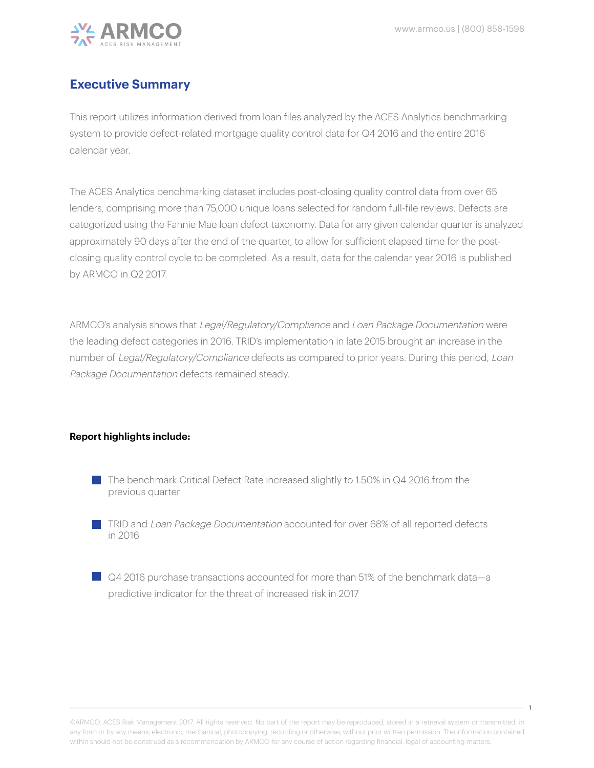

## **Executive Summary**

This report utilizes information derived from loan files analyzed by the ACES Analytics benchmarking system to provide defect-related mortgage quality control data for Q4 2016 and the entire 2016 calendar year.

The ACES Analytics benchmarking dataset includes post-closing quality control data from over 65 lenders, comprising more than 75,000 unique loans selected for random full-file reviews. Defects are categorized using the Fannie Mae loan defect taxonomy. Data for any given calendar quarter is analyzed approximately 90 days after the end of the quarter, to allow for sufficient elapsed time for the postclosing quality control cycle to be completed. As a result, data for the calendar year 2016 is published by ARMCO in Q2 2017.

ARMCO's analysis shows that Legal/Regulatory/Compliance and Loan Package Documentation were the leading defect categories in 2016. TRID's implementation in late 2015 brought an increase in the number of Legal/Regulatory/Compliance defects as compared to prior years. During this period, Loan Package Documentation defects remained steady.

#### **Report highlights include:**

- The benchmark Critical Defect Rate increased slightly to 1.50% in Q4 2016 from the previous quarter
- **TRID and Loan Package Documentation accounted for over 68% of all reported defects** in 2016
- Q4 2016 purchase transactions accounted for more than 51% of the benchmark data—a predictive indicator for the threat of increased risk in 2017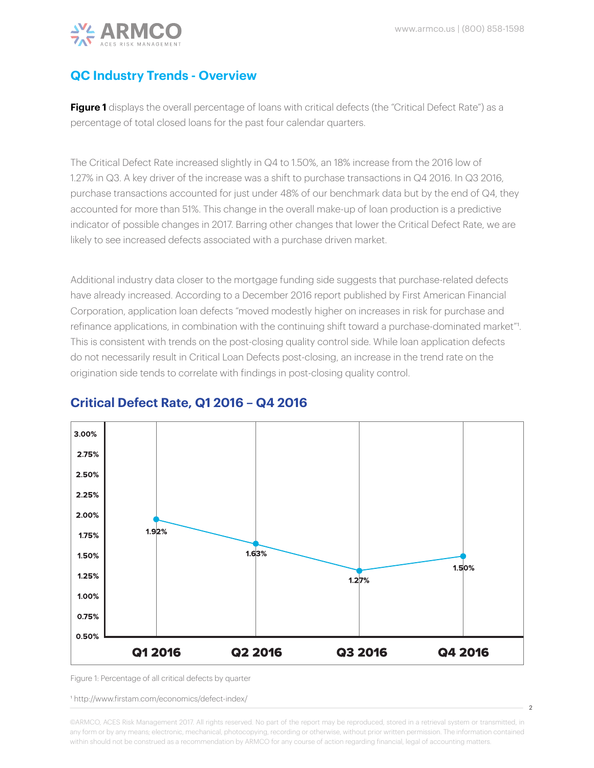$\overline{2}$ 



#### **QC Industry Trends - Overview**

Figure 1 displays the overall percentage of loans with critical defects (the "Critical Defect Rate") as a percentage of total closed loans for the past four calendar quarters.

The Critical Defect Rate increased slightly in Q4 to 1.50%, an 18% increase from the 2016 low of 1.27% in Q3. A key driver of the increase was a shift to purchase transactions in Q4 2016. In Q3 2016, purchase transactions accounted for just under 48% of our benchmark data but by the end of Q4, they accounted for more than 51%. This change in the overall make-up of loan production is a predictive indicator of possible changes in 2017. Barring other changes that lower the Critical Defect Rate, we are likely to see increased defects associated with a purchase driven market.

Additional industry data closer to the mortgage funding side suggests that purchase-related defects have already increased. According to a December 2016 report published by First American Financial Corporation, application loan defects "moved modestly higher on increases in risk for purchase and refinance applications, in combination with the continuing shift toward a purchase-dominated market"1. This is consistent with trends on the post-closing quality control side. While loan application defects do not necessarily result in Critical Loan Defects post-closing, an increase in the trend rate on the origination side tends to correlate with findings in post-closing quality control.



#### **Critical Defect Rate, Q1 2016 – Q4 2016**

Figure 1: Percentage of all critical defects by quarter

1 http://www.firstam.com/economics/defect-index/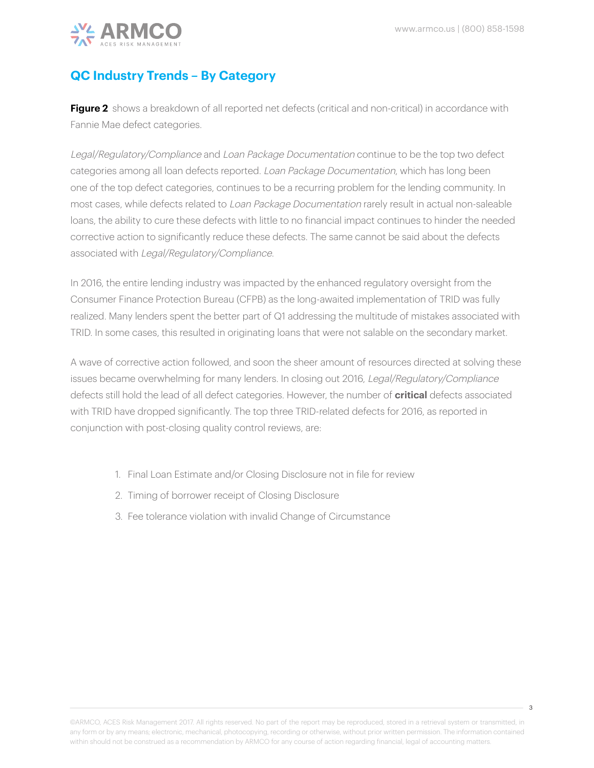

## **QC Industry Trends – By Category**

**Figure 2** shows a breakdown of all reported net defects (critical and non-critical) in accordance with Fannie Mae defect categories.

Legal/Regulatory/Compliance and Loan Package Documentation continue to be the top two defect categories among all loan defects reported. Loan Package Documentation, which has long been one of the top defect categories, continues to be a recurring problem for the lending community. In most cases, while defects related to Loan Package Documentation rarely result in actual non-saleable loans, the ability to cure these defects with little to no financial impact continues to hinder the needed corrective action to significantly reduce these defects. The same cannot be said about the defects associated with Legal/Regulatory/Compliance.

In 2016, the entire lending industry was impacted by the enhanced regulatory oversight from the Consumer Finance Protection Bureau (CFPB) as the long-awaited implementation of TRID was fully realized. Many lenders spent the better part of Q1 addressing the multitude of mistakes associated with TRID. In some cases, this resulted in originating loans that were not salable on the secondary market.

A wave of corrective action followed, and soon the sheer amount of resources directed at solving these issues became overwhelming for many lenders. In closing out 2016, Legal/Regulatory/Compliance defects still hold the lead of all defect categories. However, the number of **critical** defects associated with TRID have dropped significantly. The top three TRID-related defects for 2016, as reported in conjunction with post-closing quality control reviews, are:

- 1. Final Loan Estimate and/or Closing Disclosure not in file for review
- 2. Timing of borrower receipt of Closing Disclosure
- 3. Fee tolerance violation with invalid Change of Circumstance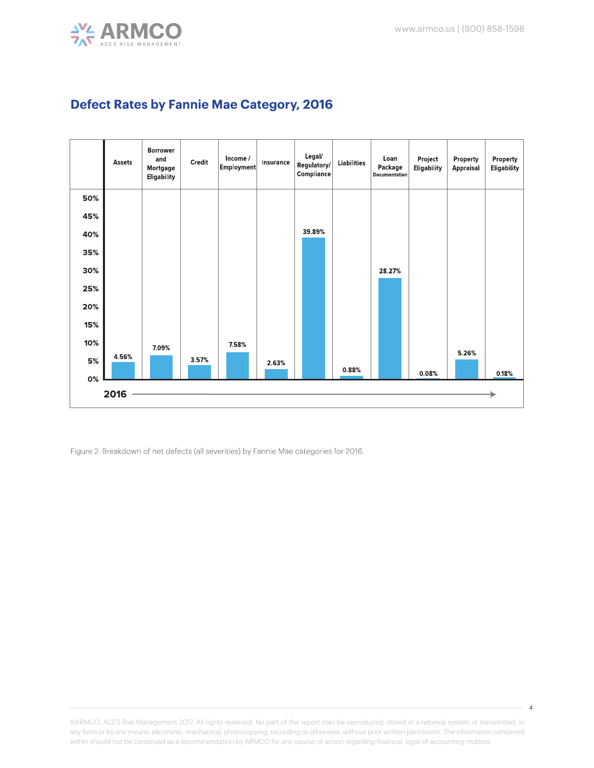



#### **Defect Rates by Fannie Mae Category, 2016**

Figure 2: Breakdown of net defects (all severities) by Fannie Mae categories for 2016.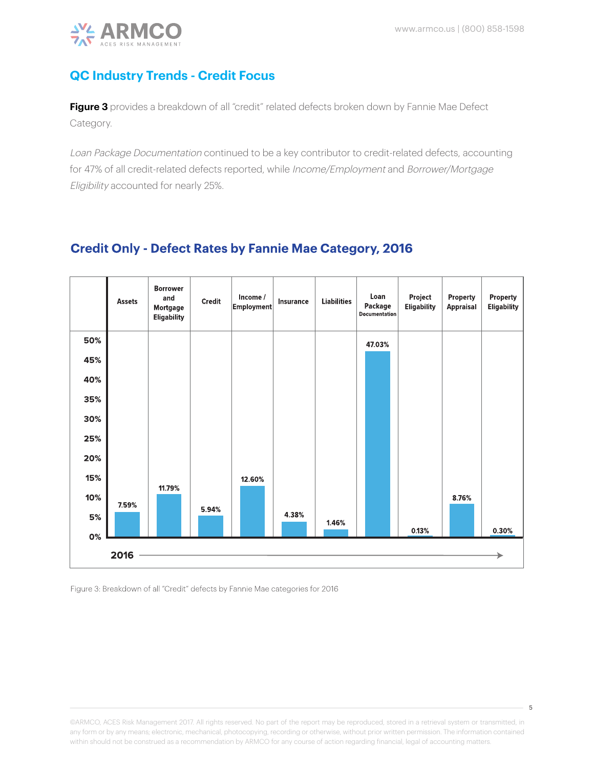

## **QC Industry Trends - Credit Focus**

**Figure 3** provides a breakdown of all "credit" related defects broken down by Fannie Mae Defect Category.

Loan Package Documentation continued to be a key contributor to credit-related defects, accounting for 47% of all credit-related defects reported, while Income/Employment and Borrower/Mortgage Eligibility accounted for nearly 25%.

#### **Credit Only - Defect Rates by Fannie Mae Category, 2016**



Figure 3: Breakdown of all "Credit" defects by Fannie Mae categories for 2016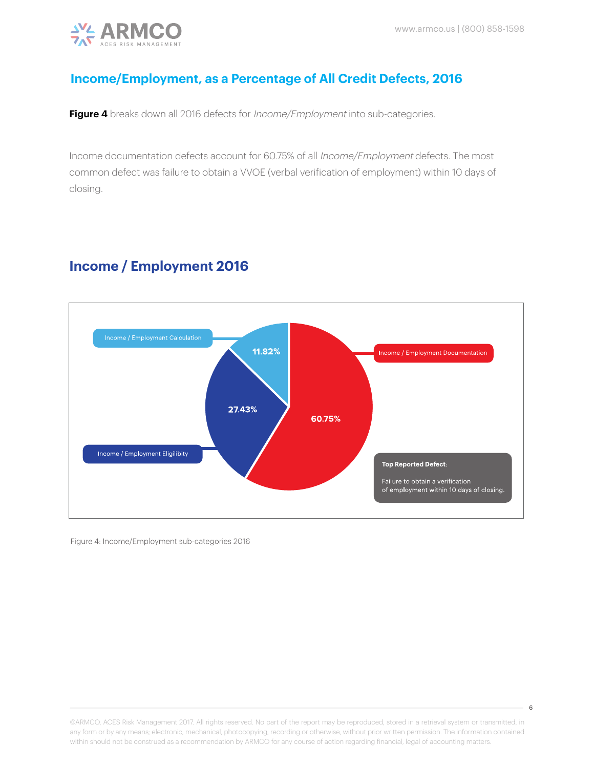

## **Income/Employment, as a Percentage of All Credit Defects, 2016**

Figure 4 breaks down all 2016 defects for *Income/Employment* into sub-categories.

Income documentation defects account for 60.75% of all Income/Employment defects. The most common defect was failure to obtain a VVOE (verbal verification of employment) within 10 days of closing.

# **Income / Employment 2016**



Figure 4: Income/Employment sub-categories 2016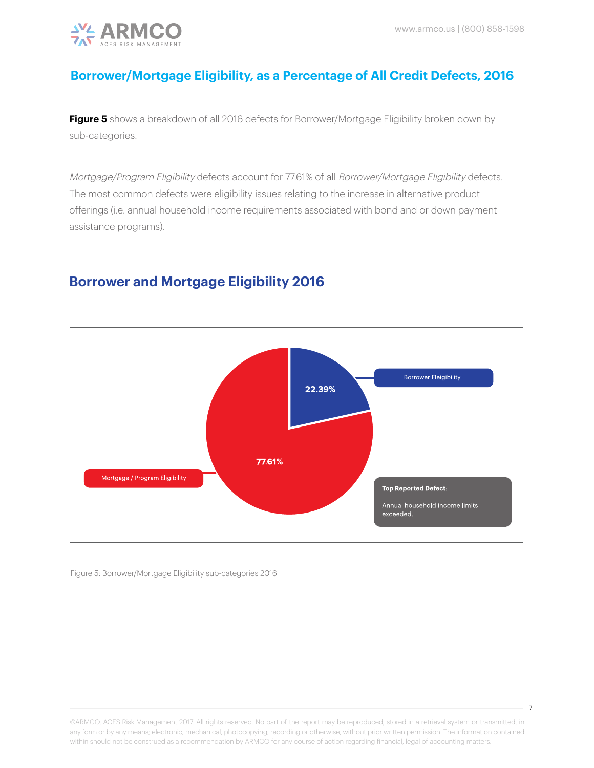

# **Borrower/Mortgage Eligibility, as a Percentage of All Credit Defects, 2016**

Figure 5 shows a breakdown of all 2016 defects for Borrower/Mortgage Eligibility broken down by sub-categories.

Mortgage/Program Eligibility defects account for 77.61% of all Borrower/Mortgage Eligibility defects. The most common defects were eligibility issues relating to the increase in alternative product offerings (i.e. annual household income requirements associated with bond and or down payment assistance programs).

# **Borrower and Mortgage Eligibility 2016**



Figure 5: Borrower/Mortgage Eligibility sub-categories 2016